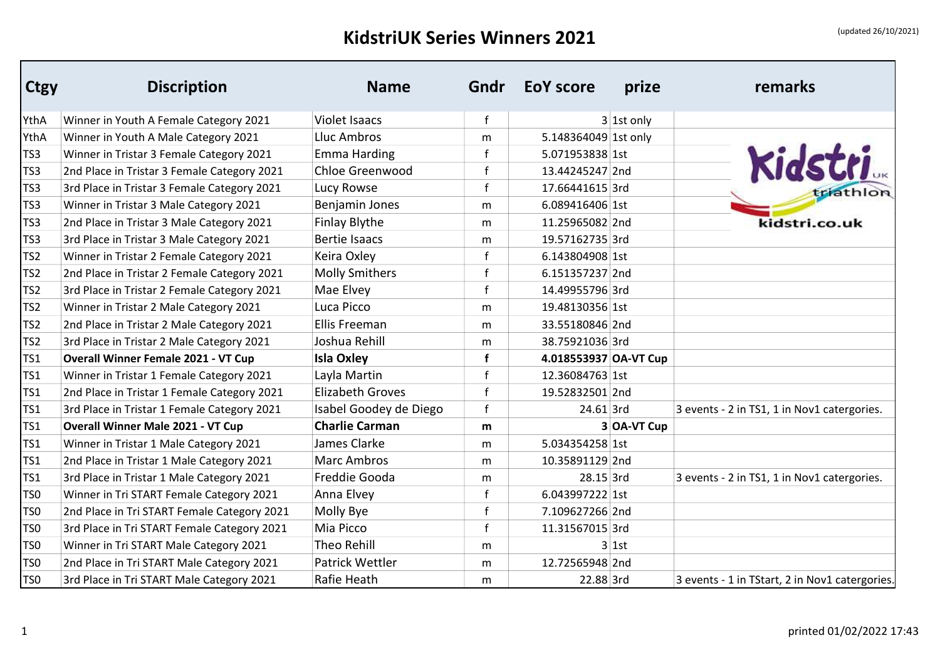## KidstriUK Series Winners 2021 **and Series Winners** 2021

| <b>Ctgy</b>     | <b>Discription</b>                          | <b>Name</b>             | Gndr        | <b>EoY</b> score      | prize        | remarks                                        |
|-----------------|---------------------------------------------|-------------------------|-------------|-----------------------|--------------|------------------------------------------------|
| YthA            | Winner in Youth A Female Category 2021      | <b>Violet Isaacs</b>    | $\mathbf f$ |                       | $3$ 1st only |                                                |
| YthA            | Winner in Youth A Male Category 2021        | Lluc Ambros             | m           | 5.148364049 1st only  |              |                                                |
| TS3             | Winner in Tristar 3 Female Category 2021    | <b>Emma Harding</b>     | f           | 5.071953838 1st       |              | Kidstri                                        |
| TS <sub>3</sub> | 2nd Place in Tristar 3 Female Category 2021 | Chloe Greenwood         | $\mathbf f$ | 13.44245247 2nd       |              |                                                |
| TS3             | 3rd Place in Tristar 3 Female Category 2021 | Lucy Rowse              | $\mathbf f$ | 17.66441615 3rd       |              |                                                |
| TS3             | Winner in Tristar 3 Male Category 2021      | Benjamin Jones          | m           | 6.089416406 1st       |              |                                                |
| TS <sub>3</sub> | 2nd Place in Tristar 3 Male Category 2021   | <b>Finlay Blythe</b>    | m           | 11.25965082 2nd       |              | kidstri.co.uk                                  |
| TS3             | 3rd Place in Tristar 3 Male Category 2021   | <b>Bertie Isaacs</b>    | m           | 19.57162735 3rd       |              |                                                |
| TS <sub>2</sub> | Winner in Tristar 2 Female Category 2021    | Keira Oxley             | f           | 6.143804908 1st       |              |                                                |
| TS <sub>2</sub> | 2nd Place in Tristar 2 Female Category 2021 | <b>Molly Smithers</b>   | f           | 6.151357237 2nd       |              |                                                |
| TS <sub>2</sub> | 3rd Place in Tristar 2 Female Category 2021 | Mae Elvey               | $\mathbf f$ | 14.49955796 3rd       |              |                                                |
| TS <sub>2</sub> | Winner in Tristar 2 Male Category 2021      | Luca Picco              | m           | 19.48130356 1st       |              |                                                |
| TS <sub>2</sub> | 2nd Place in Tristar 2 Male Category 2021   | Ellis Freeman           | m           | 33.55180846 2nd       |              |                                                |
| TS <sub>2</sub> | 3rd Place in Tristar 2 Male Category 2021   | Joshua Rehill           | m           | 38.75921036 3rd       |              |                                                |
| TS <sub>1</sub> | <b>Overall Winner Female 2021 - VT Cup</b>  | <b>Isla Oxley</b>       | f           | 4.018553937 OA-VT Cup |              |                                                |
| TS1             | Winner in Tristar 1 Female Category 2021    | Layla Martin            | $\mathbf f$ | 12.36084763 1st       |              |                                                |
| TS1             | 2nd Place in Tristar 1 Female Category 2021 | <b>Elizabeth Groves</b> | $\mathbf f$ | 19.52832501 2nd       |              |                                                |
| TS <sub>1</sub> | 3rd Place in Tristar 1 Female Category 2021 | Isabel Goodey de Diego  | $\mathbf f$ | 24.61 3rd             |              | 3 events - 2 in TS1, 1 in Nov1 catergories.    |
| TS <sub>1</sub> | <b>Overall Winner Male 2021 - VT Cup</b>    | <b>Charlie Carman</b>   | m           |                       | 3 OA-VT Cup  |                                                |
| TS <sub>1</sub> | Winner in Tristar 1 Male Category 2021      | James Clarke            | m           | 5.034354258 1st       |              |                                                |
| TS <sub>1</sub> | 2nd Place in Tristar 1 Male Category 2021   | <b>Marc Ambros</b>      | m           | 10.35891129 2nd       |              |                                                |
| TS1             | 3rd Place in Tristar 1 Male Category 2021   | Freddie Gooda           | m           | 28.15 3rd             |              | 3 events - 2 in TS1, 1 in Nov1 catergories.    |
| TS <sub>0</sub> | Winner in Tri START Female Category 2021    | Anna Elvey              | $\mathbf f$ | 6.043997222 1st       |              |                                                |
| TS <sub>0</sub> | 2nd Place in Tri START Female Category 2021 | Molly Bye               | $\mathbf f$ | 7.109627266 2nd       |              |                                                |
| TS <sub>0</sub> | 3rd Place in Tri START Female Category 2021 | Mia Picco               | $\mathbf f$ | 11.31567015 3rd       |              |                                                |
| TS <sub>0</sub> | Winner in Tri START Male Category 2021      | <b>Theo Rehill</b>      | m           |                       | 3 1st        |                                                |
| TS <sub>0</sub> | 2nd Place in Tri START Male Category 2021   | Patrick Wettler         | m           | 12.72565948 2nd       |              |                                                |
| TS <sub>0</sub> | 3rd Place in Tri START Male Category 2021   | Rafie Heath             | m           | 22.88 3rd             |              | 3 events - 1 in TStart, 2 in Nov1 catergories. |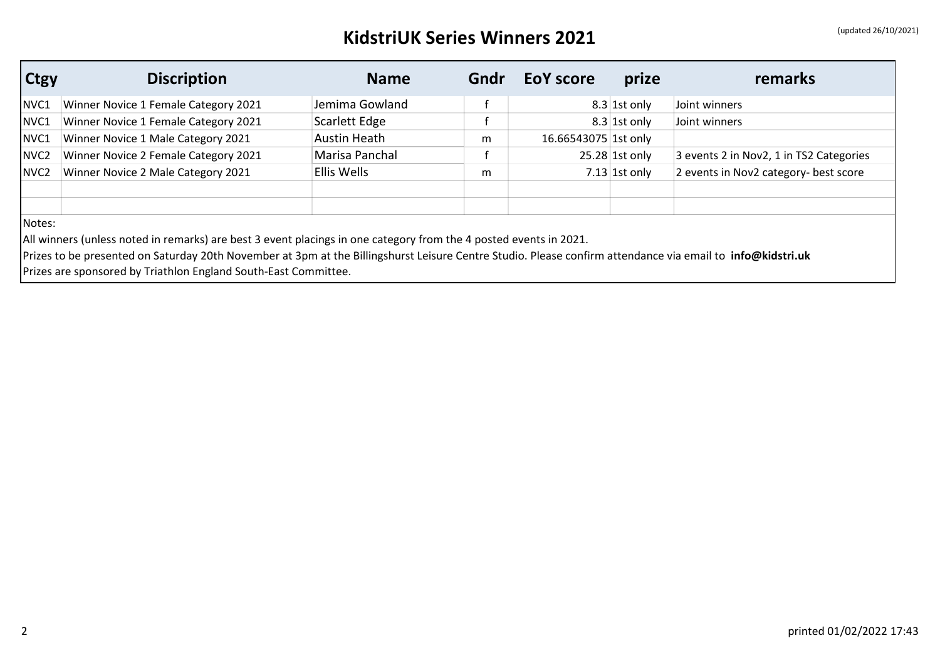## KidstriUK Series Winners 2021 **and Series Winners** 2021

| <b>Ctgy</b>      | <b>Discription</b>                                                                                                                                         | <b>Name</b>         | Gndr | <b>EoY score</b>     | prize            | remarks                                 |
|------------------|------------------------------------------------------------------------------------------------------------------------------------------------------------|---------------------|------|----------------------|------------------|-----------------------------------------|
| NVC1             | Winner Novice 1 Female Category 2021                                                                                                                       | Jemima Gowland      | f    | $8.3$ 1st only       |                  | Joint winners                           |
| NVC1             | Winner Novice 1 Female Category 2021                                                                                                                       | Scarlett Edge       |      |                      | $8.3$ 1st only   | Joint winners                           |
| NVC1             | Winner Novice 1 Male Category 2021                                                                                                                         | <b>Austin Heath</b> | m    | 16.66543075 1st only |                  |                                         |
| NVC <sub>2</sub> | Winner Novice 2 Female Category 2021                                                                                                                       | Marisa Panchal      |      |                      | $25.28$ 1st only | 3 events 2 in Nov2, 1 in TS2 Categories |
| NVC <sub>2</sub> | Winner Novice 2 Male Category 2021                                                                                                                         | Ellis Wells         | m    |                      | $7.13$ 1st only  | 2 events in Nov2 category- best score   |
|                  |                                                                                                                                                            |                     |      |                      |                  |                                         |
| Notes:           |                                                                                                                                                            |                     |      |                      |                  |                                         |
|                  | All winners (unless noted in remarks) are best 3 event placings in one category from the 4 posted events in 2021.                                          |                     |      |                      |                  |                                         |
|                  | Prizes to be presented on Saturday 20th November at 3pm at the Billingshurst Leisure Centre Studio. Please confirm attendance via email to info@kidstri.uk |                     |      |                      |                  |                                         |
|                  | Prizes are sponsored by Triathlon England South-East Committee.                                                                                            |                     |      |                      |                  |                                         |